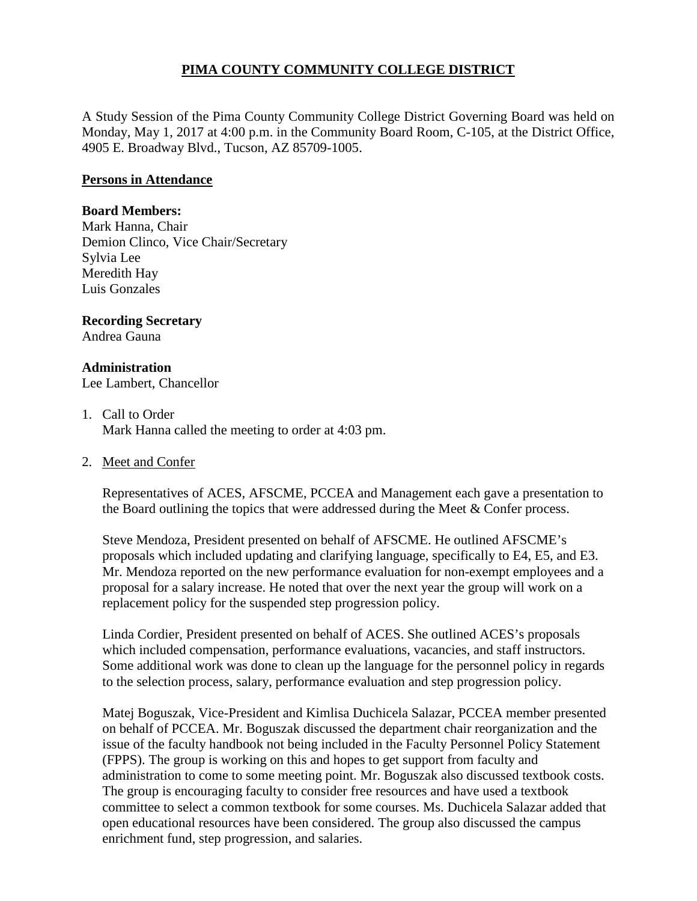# **PIMA COUNTY COMMUNITY COLLEGE DISTRICT**

A Study Session of the Pima County Community College District Governing Board was held on Monday, May 1, 2017 at 4:00 p.m. in the Community Board Room, C-105, at the District Office, 4905 E. Broadway Blvd., Tucson, AZ 85709-1005.

### **Persons in Attendance**

#### **Board Members:**

Mark Hanna, Chair Demion Clinco, Vice Chair/Secretary Sylvia Lee Meredith Hay Luis Gonzales

## **Recording Secretary**

Andrea Gauna

## **Administration**

Lee Lambert, Chancellor

## 1. Call to Order Mark Hanna called the meeting to order at 4:03 pm.

### 2. Meet and Confer

Representatives of ACES, AFSCME, PCCEA and Management each gave a presentation to the Board outlining the topics that were addressed during the Meet & Confer process.

Steve Mendoza, President presented on behalf of AFSCME. He outlined AFSCME's proposals which included updating and clarifying language, specifically to E4, E5, and E3. Mr. Mendoza reported on the new performance evaluation for non-exempt employees and a proposal for a salary increase. He noted that over the next year the group will work on a replacement policy for the suspended step progression policy.

Linda Cordier, President presented on behalf of ACES. She outlined ACES's proposals which included compensation, performance evaluations, vacancies, and staff instructors. Some additional work was done to clean up the language for the personnel policy in regards to the selection process, salary, performance evaluation and step progression policy.

Matej Boguszak, Vice-President and Kimlisa Duchicela Salazar, PCCEA member presented on behalf of PCCEA. Mr. Boguszak discussed the department chair reorganization and the issue of the faculty handbook not being included in the Faculty Personnel Policy Statement (FPPS). The group is working on this and hopes to get support from faculty and administration to come to some meeting point. Mr. Boguszak also discussed textbook costs. The group is encouraging faculty to consider free resources and have used a textbook committee to select a common textbook for some courses. Ms. Duchicela Salazar added that open educational resources have been considered. The group also discussed the campus enrichment fund, step progression, and salaries.